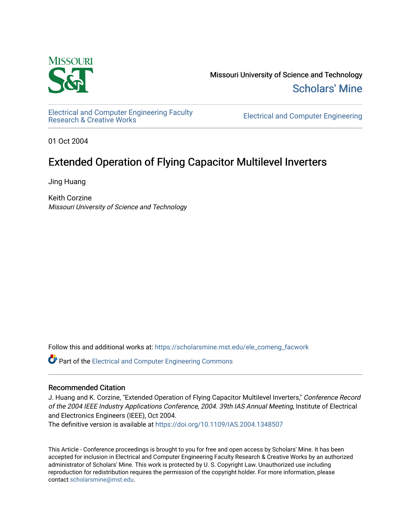

Missouri University of Science and Technology [Scholars' Mine](https://scholarsmine.mst.edu/) 

[Electrical and Computer Engineering Faculty](https://scholarsmine.mst.edu/ele_comeng_facwork)<br>Research & Creative Works

**Electrical and Computer Engineering** 

01 Oct 2004

# Extended Operation of Flying Capacitor Multilevel Inverters

Jing Huang

Keith Corzine Missouri University of Science and Technology

Follow this and additional works at: [https://scholarsmine.mst.edu/ele\\_comeng\\_facwork](https://scholarsmine.mst.edu/ele_comeng_facwork?utm_source=scholarsmine.mst.edu%2Fele_comeng_facwork%2F1954&utm_medium=PDF&utm_campaign=PDFCoverPages)

**C** Part of the Electrical and Computer Engineering Commons

# Recommended Citation

J. Huang and K. Corzine, "Extended Operation of Flying Capacitor Multilevel Inverters," Conference Record of the 2004 IEEE Industry Applications Conference, 2004. 39th IAS Annual Meeting, Institute of Electrical and Electronics Engineers (IEEE), Oct 2004.

The definitive version is available at <https://doi.org/10.1109/IAS.2004.1348507>

This Article - Conference proceedings is brought to you for free and open access by Scholars' Mine. It has been accepted for inclusion in Electrical and Computer Engineering Faculty Research & Creative Works by an authorized administrator of Scholars' Mine. This work is protected by U. S. Copyright Law. Unauthorized use including reproduction for redistribution requires the permission of the copyright holder. For more information, please contact [scholarsmine@mst.edu](mailto:scholarsmine@mst.edu).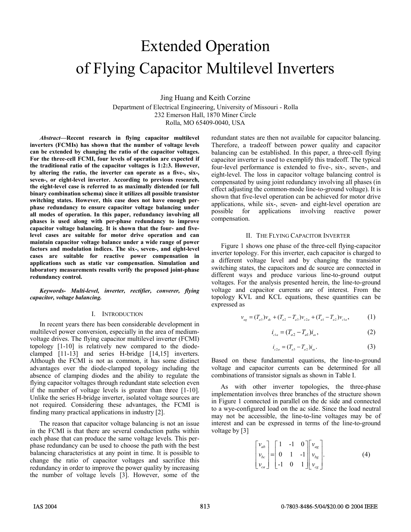# Extended Operation of Flying Capacitor Multilevel Inverters

Jing Huang and Keith Corzine

Department of Electrical Engineering, University of Missouri - Rolla 232 Emerson Hall, 1870 Miner Circle Rolla, MO 65409-0040, USA

*Abstract***—Recent research in flying capacitor multilevel inverters (FCMIs) has shown that the number of voltage levels can be extended by changing the ratio of the capacitor voltages. For the three-cell FCMI, four levels of operation are expected if the traditional ratio of the capacitor voltages is 1:2:3. However, by altering the ratio, the inverter can operate as a five-, six-, seven-, or eight-level inverter. According to previous research, the eight-level case is referred to as maximally distended (or full binary combination schema) since it utilizes all possible transistor switching states. However, this case does not have enough perphase redundancy to ensure capacitor voltage balancing under all modes of operation. In this paper, redundancy involving all phases is used along with per-phase redundancy to improve capacitor voltage balancing. It is shown that the four- and fivelevel cases are suitable for motor drive operation and can maintain capacitor voltage balance under a wide range of power factors and modulation indices. The six-, seven-, and eight-level cases are suitable for reactive power compensation in applications such as static var compensation. Simulation and laboratory measurements results verify the proposed joint-phase redundancy control.** 

*Keywords- Multi-level, inverter, rectifier, converer, flying capacitor, voltage balancing.* 

# I. INTRODUCTION

In recent years there has been considerable development in multilevel power conversion, especially in the area of mediumvoltage drives. The flying capacitor multilevel inverter (FCMI) topology [1-10] is relatively new compared to the diodeclamped [11-13] and series H-bridge [14,15] inverters. Although the FCMI is not as common, it has some distinct advantages over the diode-clamped topology including the absence of clamping diodes and the ability to regulate the flying capacitor voltages through redundant state selection even if the number of voltage levels is greater than three [1-10]. Unlike the series H-bridge inverter, isolated voltage sources are not required. Considering these advantages, the FCMI is finding many practical applications in industry [2].

The reason that capacitor voltage balancing is not an issue in the FCMI is that there are several conduction paths within each phase that can produce the same voltage levels. This perphase redundancy can be used to choose the path with the best balancing characteristics at any point in time. It is possible to change the ratio of capacitor voltages and sacrifice this redundancy in order to improve the power quality by increasing the number of voltage levels [3]. However, some of the redundant states are then not available for capacitor balancing. Therefore, a tradeoff between power quality and capacitor balancing can be established. In this paper, a three-cell flying capacitor inverter is used to exemplify this tradeoff. The typical four-level performance is extended to five-, six-, seven-, and eight-level. The loss in capacitor voltage balancing control is compensated by using joint redundancy involving all phases (in effect adjusting the common-mode line-to-ground voltage). It is shown that five-level operation can be achieved for motor drive applications, while six-, seven- and eight-level operation are possible for applications involving reactive power compensation.

### II. THE FLYING CAPACITOR INVERTER

Figure 1 shows one phase of the three-cell flying-capacitor inverter topology. For this inverter, each capacitor is charged to a different voltage level and by changing the transistor switching states, the capacitors and dc source are connected in different ways and produce various line-to-ground output voltages. For the analysis presented herein, the line-to-ground voltage and capacitor currents are of interest. From the topology KVL and KCL equations, these quantities can be expressed as

$$
v_{ag} = (T_{a3})v_{dc} + (T_{a2} - T_{a3})v_{c2a} + (T_{a1} - T_{a2})v_{c1a},
$$
 (1)

$$
i_{c1a} = (T_{a2} - T_{a1})i_{as}, \t\t(2)
$$

$$
i_{c2a} = (T_{a3} - T_{a2})i_{as}.
$$
 (3)

Based on these fundamental equations, the line-to-ground voltage and capacitor currents can be determined for all combinations of transistor signals as shown in Table I.

As with other inverter topologies, the three-phase implementation involves three branches of the structure shown in Figure 1 connected in parallel on the dc side and connected to a wye-configured load on the ac side. Since the load neutral may not be accessible, the line-to-line voltages may be of interest and can be expressed in terms of the line-to-ground voltage by [3]

$$
\begin{bmatrix} v_{ab} \\ v_{bc} \\ v_{ca} \end{bmatrix} = \begin{bmatrix} 1 & -1 & 0 \\ 0 & 1 & -1 \\ -1 & 0 & 1 \end{bmatrix} \begin{bmatrix} v_{ag} \\ v_{bg} \\ v_{cg} \end{bmatrix}.
$$
 (4)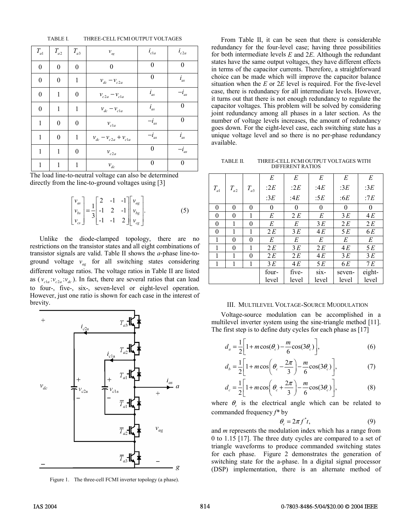| TABLE I.<br>THREE-CELL FCMI OUTPUT VOLTAGES |  |
|---------------------------------------------|--|
|---------------------------------------------|--|

| $T_{a{\scriptscriptstyle 1}}$ | $T_{a2}$         | $T_{a3}$         | $\mathcal{V}_{ag}$                                                    | $i_{c1a}$        | $i_{c2a}$        |
|-------------------------------|------------------|------------------|-----------------------------------------------------------------------|------------------|------------------|
| $\boldsymbol{0}$              | $\boldsymbol{0}$ | $\boldsymbol{0}$ | $\overline{0}$                                                        | $\boldsymbol{0}$ | $\boldsymbol{0}$ |
| $\boldsymbol{0}$              | $\boldsymbol{0}$ | 1                | $v_{dc} - v_{c2a}$                                                    | 0                | $i_{as}$         |
| $\boldsymbol{0}$              | 1                | $\boldsymbol{0}$ | $\ensuremath{v_{c2a}}-\ensuremath{v_{c1a}}$                           | $i_{as}$         | $-i_{as}$        |
| $\boldsymbol{0}$              | $\mathbf{1}$     | $\mathbf{1}$     | $\ensuremath{v_{dc}}-\ensuremath{v_{cla}}$                            | $i_{as}$         | $\boldsymbol{0}$ |
| $\mathbf{1}$                  | $\boldsymbol{0}$ | $\overline{0}$   | $\mathcal{V}_{c1a}$                                                   | $-i_{as}$        | $\boldsymbol{0}$ |
| $\mathbf{1}$                  | $\boldsymbol{0}$ | 1                | $\ensuremath{\nu_{dc}}-\ensuremath{\nu_{c2a}}+\ensuremath{\nu_{c1a}}$ | $-i_{as}$        | $i_{as}$         |
| $\mathbf{1}$                  | 1                | $\boldsymbol{0}$ | $\mathcal{V}_{c2a}$                                                   | $\boldsymbol{0}$ | $-i_{as}$        |
| 1                             | 1                | 1                | $\mathcal{V}_{dc}$                                                    | $\boldsymbol{0}$ | $\boldsymbol{0}$ |

The load line-to-neutral voltage can also be determined directly from the line-to-ground voltages using [3]

$$
\begin{bmatrix} v_{as} \\ v_{bs} \\ v_{cs} \end{bmatrix} = \frac{1}{3} \begin{bmatrix} 2 & -1 & -1 \\ -1 & 2 & -1 \\ -1 & -1 & 2 \end{bmatrix} \begin{bmatrix} v_{ag} \\ v_{bg} \\ v_{cg} \end{bmatrix}.
$$
 (5)

Unlike the diode-clamped topology, there are no restrictions on the transistor states and all eight combinations of transistor signals are valid. Table II shows the *a*-phase line-toground voltage  $v_{ag}$  for all switching states considering different voltage ratios. The voltage ratios in Table II are listed as  $(v_{c1a}:v_{c2a}:v_{dc})$ . In fact, there are several ratios that can lead to four-, five-, six-, seven-level or eight-level operation. However, just one ratio is shown for each case in the interest of brevity.



Figure 1. The three-cell FCMI inverter topology (a phase).

From Table II, it can be seen that there is considerable redundancy for the four-level case; having three possibilities for both intermediate levels *E* and 2*E*. Although the redundant states have the same output voltages, they have different effects in terms of the capacitor currents. Therefore, a straightforward choice can be made which will improve the capacitor balance situation when the *E* or 2*E* level is required. For the five-level case, there is redundancy for all intermediate levels. However, it turns out that there is not enough redundancy to regulate the capacitor voltages. This problem will be solved by considering joint redundancy among all phases in a later section. As the number of voltage levels increases, the amount of redundancy goes down. For the eight-level case, each switching state has a unique voltage level and so there is no per-phase redundancy available.

TABLE II. THREE-CELL FCMI OUTPUT VOLTAGES WITH DIFFERENT RATIOS

|          |          |              | E        | E        | E       | E        | E      |
|----------|----------|--------------|----------|----------|---------|----------|--------|
| $T_{a1}$ | $T_{a2}$ | $T_{a3}$     | :2 $E$   | :2 $E$   | :4 $E$  | :3 $E$   | :3 $E$ |
|          |          |              | :3 $E$   | :4 $E$   | :5 $E$  | :6E      | :7E    |
| $\theta$ | $\theta$ | 0            | $\theta$ | $\theta$ | 0       | $\theta$ | 0      |
| $\theta$ | $\theta$ | 1            | E        | 2 E      | E       | 3E       | 4 E    |
| $\theta$ | 1        | 0            | E        | E        | 3E      | 2 E      | 2E     |
| $\theta$ | 1        | 1            | 2E       | 3E       | 4 E     | 5E       | 6 E    |
| 1        | $\theta$ | $\mathbf{0}$ | E        | E        | E       | E        | E      |
|          | $\theta$ | 1            | 2 E      | 3E       | 2 E     | 4 E      | 5 E    |
|          | 1        | $\theta$     | 2 E      | 2 E      | 4 E     | 3E       | 3E     |
| 1        | 1        | 1            | 3E       | 4 E      | 5 E     | 6 E      | 7E     |
|          |          |              | four-    | five-    | $six -$ | seven-   | eight- |
|          |          |              | level    | level    | level   | level    | level  |

#### III. MULTILEVEL VOLTAGE-SOURCE MUODULATION

Voltage-source modulation can be accomplished in a multilevel inverter system using the sine-triangle method [11]. The first step is to define duty cycles for each phase as [17]

$$
d_a = \frac{1}{2} \left[ 1 + m \cos(\theta_c) - \frac{m}{6} \cos(3\theta_c) \right],\tag{6}
$$

$$
d_b = \frac{1}{2} \left[ 1 + m \cos \left( \theta_c - \frac{2\pi}{3} \right) - \frac{m}{6} \cos(3\theta_c) \right],\tag{7}
$$

$$
d_c = \frac{1}{2} \left[ 1 + m \cos \left( \theta_c + \frac{2\pi}{3} \right) - \frac{m}{6} \cos(3\theta_c) \right],\tag{8}
$$

where  $\theta_c$  is the electrical angle which can be related to commanded frequency  $f^*$  by

$$
\theta_c = 2\pi f^* t,\tag{9}
$$

and *m* represents the modulation index which has a range from 0 to 1.15 [17]. The three duty cycles are compared to a set of triangle waveforms to produce commanded switching states for each phase. Figure 2 demonstrates the generation of switching state for the a-phase. In a digital signal processor (DSP) implementation, there is an alternate method of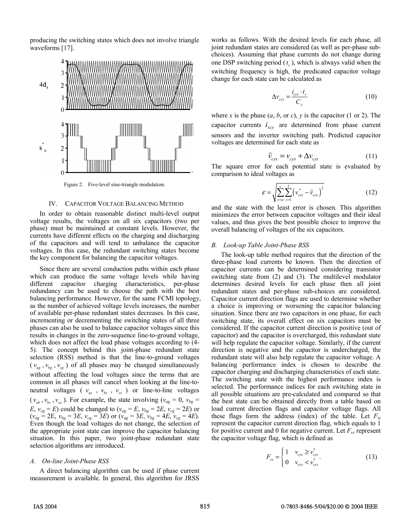producing the switching states which does not involve triangle waveforms [17].



Figure 2. Five-level sine-triangle modulation.

#### IV. CAPACITOR VOLTAGE BALANCING METHOD

In order to obtain reasonable distinct multi-level output voltage results, the voltages on all six capacitors (two per phase) must be maintained at constant levels. However, the currents have different effects on the charging and discharging of the capacitors and will tend to unbalance the capacitor voltages. In this case, the redundant switching states become the key component for balancing the capacitor voltages.

Since there are several conduction paths within each phase which can produce the same voltage levels while having different capacitor charging characteristics, per-phase redundancy can be used to choose the path with the best balancing performance. However, for the same FCMI topology, as the number of achieved voltage levels increases, the number of available per-phase redundant states decreases. In this case, incrementing or decrementing the switching states of all three phases can also be used to balance capacitor voltages since this results in changes in the zero-sequence line-to-ground voltage, which does not affect the load phase voltages according to (4- 5). The concept behind this joint-phase redundant state selection (RSS) method is that the line-to-ground voltages  $(v_{ag}, v_{bg}, v_{cg})$  of all phases may be changed simultaneously without affecting the load voltages since the terms that are common in all phases will cancel when looking at the line-toneutral voltages ( $v_{as}$ ,  $v_{bs}$ ,  $v_{cs}$ ) or line-to-line voltages  $(v_{ab}, v_{bc}, v_{ca})$ . For example, the state involving  $(v_{ag} = 0, v_{bg} = 0)$  $E, v_{cg} = E$ ) could be changed to ( $v_{ag} = E, v_{bg} = 2E, v_{cg} = 2E$ ) or  $(v_{ag} = 2E, v_{bg} = 3E, v_{cg} = 3E)$  or  $(v_{ag} = 3E, v_{bg} = 4E, v_{cg} = 4E)$ . Even though the load voltages do not change, the selection of the appropriate joint state can improve the capacitor balancing situation. In this paper, two joint-phase redundant state selection algorithms are introduced.

# *A. On-line Joint-Phase RSS*

A direct balancing algorithm can be used if phase current measurement is available. In general, this algorithm for JRSS works as follows. With the desired levels for each phase, all joint redundant states are considered (as well as per-phase subchoices). Assuming that phase currents do not change during one DSP switching period  $(t<sub>s</sub>)$ , which is always valid when the switching frequency is high, the predicated capacitor voltage change for each state can be calculated as

$$
\Delta v_{\text{c}yx} = \frac{i_{\text{c}yx} \cdot t_s}{C_y} \tag{10}
$$

where *x* is the phase  $(a, b, or c)$ ,  $v$  is the capacitor  $(1 or 2)$ . The capacitor currents  $i_{\text{xcv}}$  are determined from phase current sensors and the inverter switching path. Predicted capacitor voltages are determined for each state as

$$
\tilde{\nu}_{cyx} = \nu_{cyx} + \Delta \nu_{cyx} \tag{11}
$$

The square error for each potential state is evaluated by comparison to ideal voltages as

$$
\varepsilon = \sqrt{\sum_{x=a}^{c} \sum_{y=1}^{2} \left( v_{\text{c}yx}^{*} - \tilde{v}_{\text{c}yx} \right)^{2}}
$$
(12)

and the state with the least error is chosen. This algorithm minimizes the error between capacitor voltages and their ideal values, and thus gives the best possible choice to improve the overall balancing of voltages of the six capacitors.

# *B. Look-up Table Joint-Phase RSS*

The look-up table method requires that the direction of the three-phase load currents be known. Then the direction of capacitor currents can be determined considering transistor switching state from (2) and (3). The multilevel modulator determines desired levels for each phase then all joint redundant states and per-phase sub-choices are considered. Capacitor current direction flags are used to determine whether a choice is improving or worsening the capacitor balancing situation. Since there are two capacitors in one phase, for each switching state, its overall effect on six capacitors must be considered. If the capacitor current direction is positive (out of capacitor) and the capacitor is overcharged, this redundant state will help regulate the capacitor voltage. Similarly, if the current direction is negative and the capacitor is undercharged, the redundant state will also help regulate the capacitor voltage. A balancing performance index is chosen to describe the capacitor charging and discharging characteristics of each state. The switching state with the highest performance index is selected. The performance indices for each switching state in all possible situations are pre-calculated and compared so that the best state can be obtained directly from a table based on load current direction flags and capacitor voltage flags. All these flags form the address (index) of the table. Let  $F_{ix}$ represent the capacitor current direction flag, which equals to 1 for positive current and 0 for negative current. Let  $F_{yx}$  represent the capacitor voltage flag, which is defined as

$$
F_{vx} = \begin{cases} 1 & v_{cyx} \ge v_{cyx}^* \\ 0 & v_{cyx} < v_{cyx}^* \end{cases}
$$
 (13)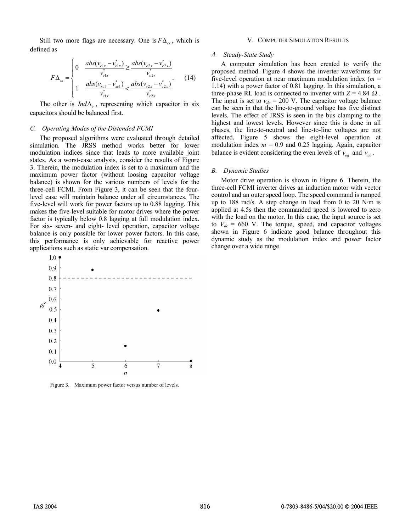Still two more flags are necessary. One is  $F\Delta_{cx}$ , which is defined as

$$
F\Delta_{cx} = \begin{cases} 0 & \frac{abs(v_{c1x} - v_{c1x}^{*})}{v_{c1x}^{*}} \ge \frac{abs(v_{c2x} - v_{c2x}^{*})}{v_{c2x}^{*}} \\ 1 & \frac{abs(v_{xc1} - v_{xc1}^{*})}{v_{c1x}^{*}} < \frac{abs(v_{c2x} - v_{c2x}^{*})}{v_{c2x}^{*}} \end{cases}
$$
(14)

The other is  $Ind\Delta_{c}$ , representing which capacitor in six capacitors should be balanced first.

#### *C. Operating Modes of the Distended FCMI*

The proposed algorithms were evaluated through detailed simulation. The JRSS method works better for lower modulation indices since that leads to more available joint states. As a worst-case analysis, consider the results of Figure 3. Therein, the modulation index is set to a maximum and the maximum power factor (without loosing capacitor voltage balance) is shown for the various numbers of levels for the three-cell FCMI. From Figure 3, it can be seen that the fourlevel case will maintain balance under all circumstances. The five-level will work for power factors up to 0.88 lagging. This makes the five-level suitable for motor drives where the power factor is typically below 0.8 lagging at full modulation index. For six- seven- and eight- level operation, capacitor voltage balance is only possible for lower power factors. In this case, this performance is only achievable for reactive power applications such as static var compensation.



Figure 3. Maximum power factor versus number of levels.

#### V. COMPUTER SIMULATION RESULTS

#### *A. Steady-State Study*

A computer simulation has been created to verify the proposed method. Figure 4 shows the inverter waveforms for five-level operation at near maximum modulation index (*m* = 1.14) with a power factor of 0.81 lagging. In this simulation, a three-phase RL load is connected to inverter with  $Z = 4.84 \Omega$ . The input is set to  $v_{dc} = 200$  V. The capacitor voltage balance can be seen in that the line-to-ground voltage has five distinct levels. The effect of JRSS is seen in the bus clamping to the highest and lowest levels. However since this is done in all phases, the line-to-neutral and line-to-line voltages are not affected. Figure 5 shows the eight-level operation at modulation index  $m = 0.9$  and 0.25 lagging. Again, capacitor balance is evident considering the even levels of  $v_{ae}$  and  $v_{ab}$ .

#### *B. Dynamic Studies*

Motor drive operation is shown in Figure 6. Therein, the three-cell FCMI inverter drives an induction motor with vector control and an outer speed loop. The speed command is ramped up to 188 rad/s. A step change in load from 0 to 20 N·m is applied at 4.5s then the commanded speed is lowered to zero with the load on the motor. In this case, the input source is set to  $V_{dc}$  = 660 V. The torque, speed, and capacitor voltages shown in Figure 6 indicate good balance throughout this dynamic study as the modulation index and power factor change over a wide range.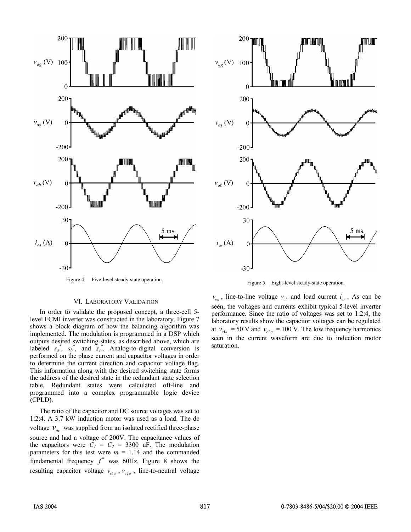

Figure 4. Five-level steady-state operation. Figure 5. Eight-level steady-state operation.

# VI. LABORATORY VALIDATION

In order to validate the proposed concept, a three-cell 5 level FCMI inverter was constructed in the laboratory. Figure 7 shows a block diagram of how the balancing algorithm was implemented. The modulation is programmed in a DSP which outputs desired switching states, as described above, which are labeled  $s_a^*$ ,  $s_b^*$ , and  $s_c^*$ . Analog-to-digital conversion is performed on the phase current and capacitor voltages in order to determine the current direction and capacitor voltage flag. This information along with the desired switching state forms the address of the desired state in the redundant state selection table. Redundant states were calculated off-line and programmed into a complex programmable logic device (CPLD).

The ratio of the capacitor and DC source voltages was set to 1:2:4. A 3.7 kW induction motor was used as a load. The dc voltage  $v_{dc}$  was supplied from an isolated rectified three-phase source and had a voltage of 200V. The capacitance values of the capacitors were  $C_1 = C_2 = 3300$  uF. The modulation parameters for this test were  $m = 1.14$  and the commanded fundamental frequency  $f^*$  was 60Hz. Figure 8 shows the resulting capacitor voltage  $v_{c1a}$ ,  $v_{c2a}$ , line-to-neutral voltage



 $v_{ag}$ , line-to-line voltage  $v_{ab}$  and load current  $i_{as}$ . As can be seen, the voltages and currents exhibit typical 5-level inverter performance. Since the ratio of voltages was set to 1:2:4, the laboratory results show the capacitor voltages can be regulated at  $v_{c1a} = 50$  V and  $v_{c2a} = 100$  V. The low frequency harmonics seen in the current waveform are due to induction motor saturation.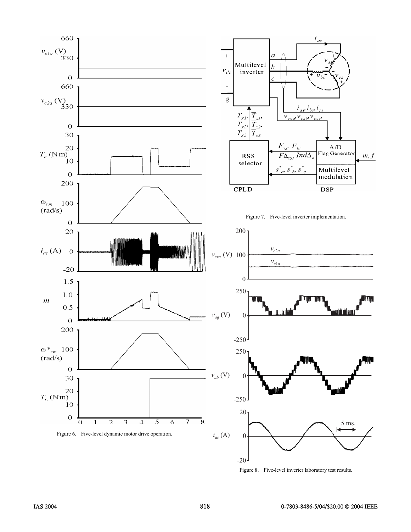

Figure 8. Five-level inverter laboratory test results.